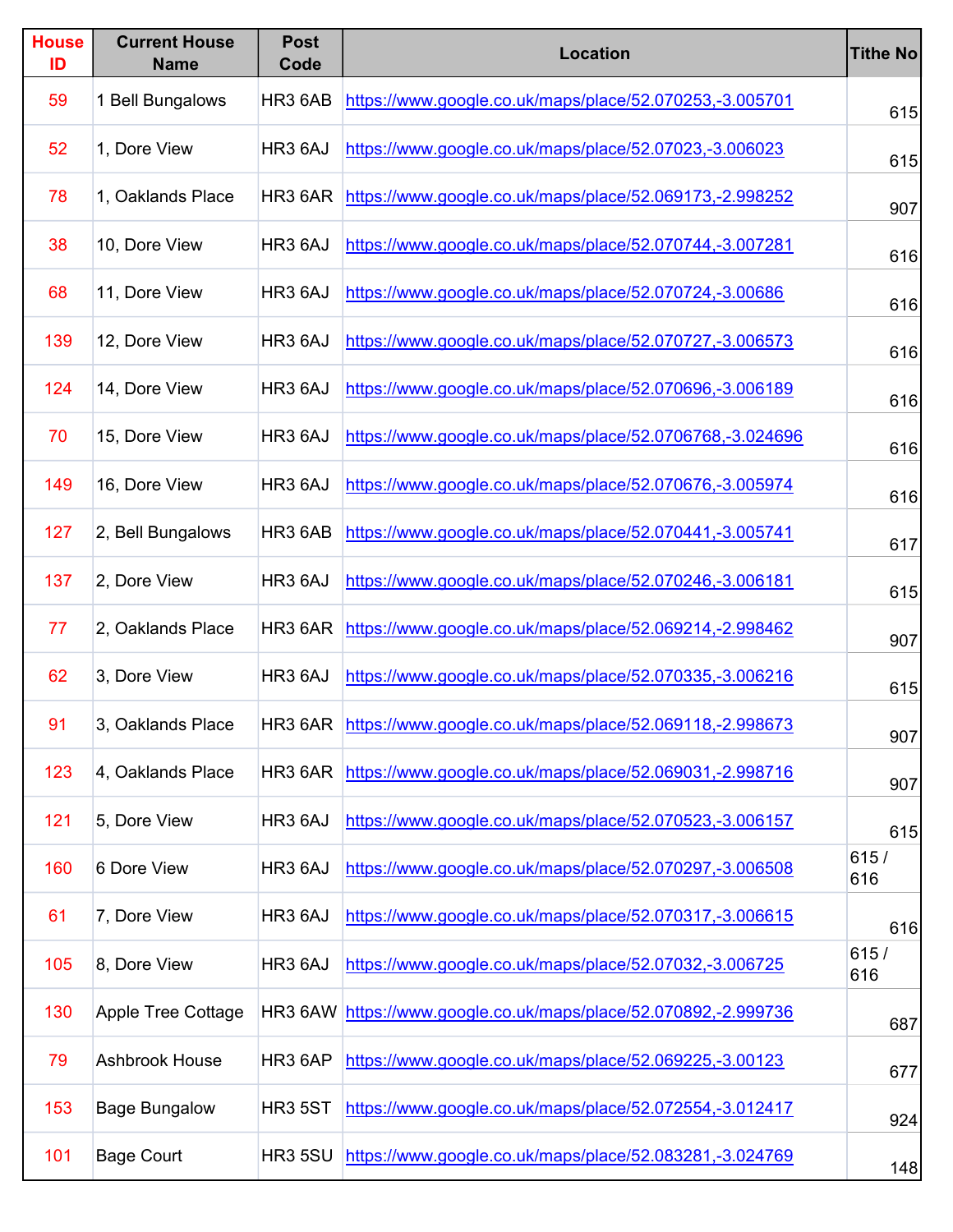| <b>House</b><br>ID | <b>Current House</b><br><b>Name</b> | <b>Post</b><br>Code | <b>Location</b>                                                 | <b>Tithe No</b> |
|--------------------|-------------------------------------|---------------------|-----------------------------------------------------------------|-----------------|
| 59                 | 1 Bell Bungalows                    | HR3 6AB             | https://www.google.co.uk/maps/place/52.070253,-3.005701         | 615             |
| 52                 | 1, Dore View                        | HR3 6AJ             | https://www.google.co.uk/maps/place/52.07023,-3.006023          | 615             |
| 78                 | 1, Oaklands Place                   | HR3 6AR             | https://www.google.co.uk/maps/place/52.069173,-2.998252         | 907             |
| 38                 | 10, Dore View                       | HR3 6AJ             | https://www.google.co.uk/maps/place/52.070744,-3.007281         | 616             |
| 68                 | 11, Dore View                       | HR3 6AJ             | https://www.google.co.uk/maps/place/52.070724,-3.00686          | 616             |
| 139                | 12, Dore View                       | HR3 6AJ             | https://www.google.co.uk/maps/place/52.070727,-3.006573         | 616             |
| 124                | 14, Dore View                       | HR3 6AJ             | https://www.google.co.uk/maps/place/52.070696,-3.006189         | 616             |
| 70                 | 15, Dore View                       | HR3 6AJ             | https://www.google.co.uk/maps/place/52.0706768,-3.024696        | 616             |
| 149                | 16, Dore View                       | HR3 6AJ             | https://www.google.co.uk/maps/place/52.070676,-3.005974         | 616             |
| 127                | 2, Bell Bungalows                   | HR3 6AB             | https://www.google.co.uk/maps/place/52.070441,-3.005741         | 617             |
| 137                | 2, Dore View                        | HR3 6AJ             | https://www.google.co.uk/maps/place/52.070246,-3.006181         | 615             |
| 77                 | 2, Oaklands Place                   | HR3 6AR             | https://www.google.co.uk/maps/place/52.069214,-2.998462         | 907             |
| 62                 | 3, Dore View                        | HR3 6AJ             | https://www.google.co.uk/maps/place/52.070335,-3.006216         | 615             |
| 91                 | 3, Oaklands Place                   |                     | HR3 6AR https://www.google.co.uk/maps/place/52.069118,-2.998673 | 907             |
| 123                | 4, Oaklands Place                   | HR3 6AR             | https://www.google.co.uk/maps/place/52.069031,-2.998716         | 907             |
| 121                | 5, Dore View                        | HR3 6AJ             | https://www.google.co.uk/maps/place/52.070523,-3.006157         | 615             |
| 160                | 6 Dore View                         | HR3 6AJ             | https://www.google.co.uk/maps/place/52.070297,-3.006508         | 615/<br>616     |
| 61                 | 7, Dore View                        | HR3 6AJ             | https://www.google.co.uk/maps/place/52.070317,-3.006615         | 616             |
| 105                | 8, Dore View                        | HR3 6AJ             | https://www.google.co.uk/maps/place/52.07032,-3.006725          | 615/<br>616     |
| 130                | <b>Apple Tree Cottage</b>           | HR3 6AW             | https://www.google.co.uk/maps/place/52.070892,-2.999736         | 687             |
| 79                 | Ashbrook House                      | HR3 6AP             | https://www.google.co.uk/maps/place/52.069225,-3.00123          | 677             |
| 153                | <b>Bage Bungalow</b>                | <b>HR3 5ST</b>      | https://www.google.co.uk/maps/place/52.072554,-3.012417         | 924             |
| 101                | <b>Bage Court</b>                   | <b>HR3 5SU</b>      | https://www.google.co.uk/maps/place/52.083281,-3.024769         | 148             |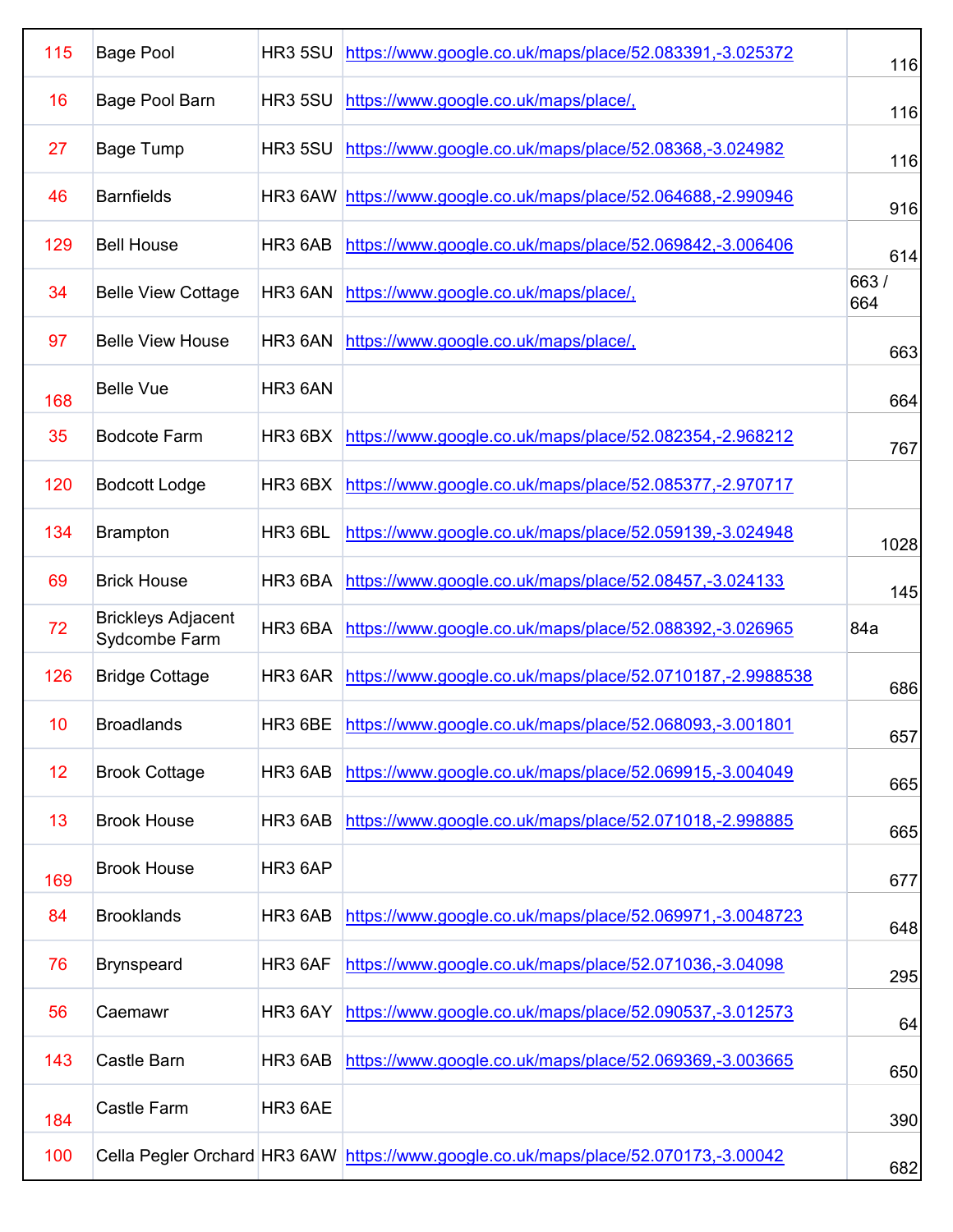| 115 | <b>Bage Pool</b>                           | <b>HR3 5SU</b>      | https://www.google.co.uk/maps/place/52.083391,-3.025372         | 116         |
|-----|--------------------------------------------|---------------------|-----------------------------------------------------------------|-------------|
| 16  | Bage Pool Barn                             | <b>HR3 5SU</b>      | https://www.google.co.uk/maps/place/,                           | 116         |
| 27  | <b>Bage Tump</b>                           | <b>HR3 5SU</b>      | https://www.google.co.uk/maps/place/52.08368,-3.024982          | 116         |
| 46  | <b>Barnfields</b>                          |                     | HR3 6AW https://www.google.co.uk/maps/place/52.064688,-2.990946 | 916         |
| 129 | <b>Bell House</b>                          | HR <sub>3</sub> 6AB | https://www.google.co.uk/maps/place/52.069842,-3.006406         | 614         |
| 34  | <b>Belle View Cottage</b>                  | HR3 6AN             | https://www.google.co.uk/maps/place/,                           | 663/<br>664 |
| 97  | <b>Belle View House</b>                    | HR3 6AN             | https://www.google.co.uk/maps/place/,                           | 663         |
| 168 | <b>Belle Vue</b>                           | HR <sub>3</sub> 6AN |                                                                 | 664         |
| 35  | <b>Bodcote Farm</b>                        | HR3 6BX             | https://www.google.co.uk/maps/place/52.082354,-2.968212         | 767         |
| 120 | <b>Bodcott Lodge</b>                       | HR3 6BX             | https://www.google.co.uk/maps/place/52.085377,-2.970717         |             |
| 134 | <b>Brampton</b>                            | HR3 6BL             | https://www.google.co.uk/maps/place/52.059139,-3.024948         | 1028        |
| 69  | <b>Brick House</b>                         | HR3 6BA             | https://www.google.co.uk/maps/place/52.08457,-3.024133          | 145         |
|     |                                            |                     |                                                                 |             |
| 72  | <b>Brickleys Adjacent</b><br>Sydcombe Farm | HR3 6BA             | https://www.google.co.uk/maps/place/52.088392,-3.026965         | 84a         |
| 126 | <b>Bridge Cottage</b>                      | HR3 6AR             | https://www.google.co.uk/maps/place/52.0710187,-2.9988538       | 686         |
| 10  | <b>Broadlands</b>                          |                     | HR3 6BE https://www.google.co.uk/maps/place/52.068093,-3.001801 | 657         |
| 12  | <b>Brook Cottage</b>                       | HR3 6AB             | https://www.google.co.uk/maps/place/52.069915,-3.004049         | 665         |
| 13  | <b>Brook House</b>                         | HR3 6AB             | https://www.google.co.uk/maps/place/52.071018,-2.998885         | 665         |
| 169 | <b>Brook House</b>                         | HR3 6AP             |                                                                 | 677         |
| 84  | <b>Brooklands</b>                          | HR3 6AB             | https://www.google.co.uk/maps/place/52.069971,-3.0048723        | 648         |
| 76  | <b>Brynspeard</b>                          | HR3 6AF             | https://www.google.co.uk/maps/place/52.071036,-3.04098          | 295         |
| 56  | Caemawr                                    | HR3 6AY             | https://www.google.co.uk/maps/place/52.090537,-3.012573         | 64          |
| 143 | Castle Barn                                | HR3 6AB             | https://www.google.co.uk/maps/place/52.069369,-3.003665         | 650         |
| 184 | Castle Farm                                | HR3 6AE             |                                                                 | 390         |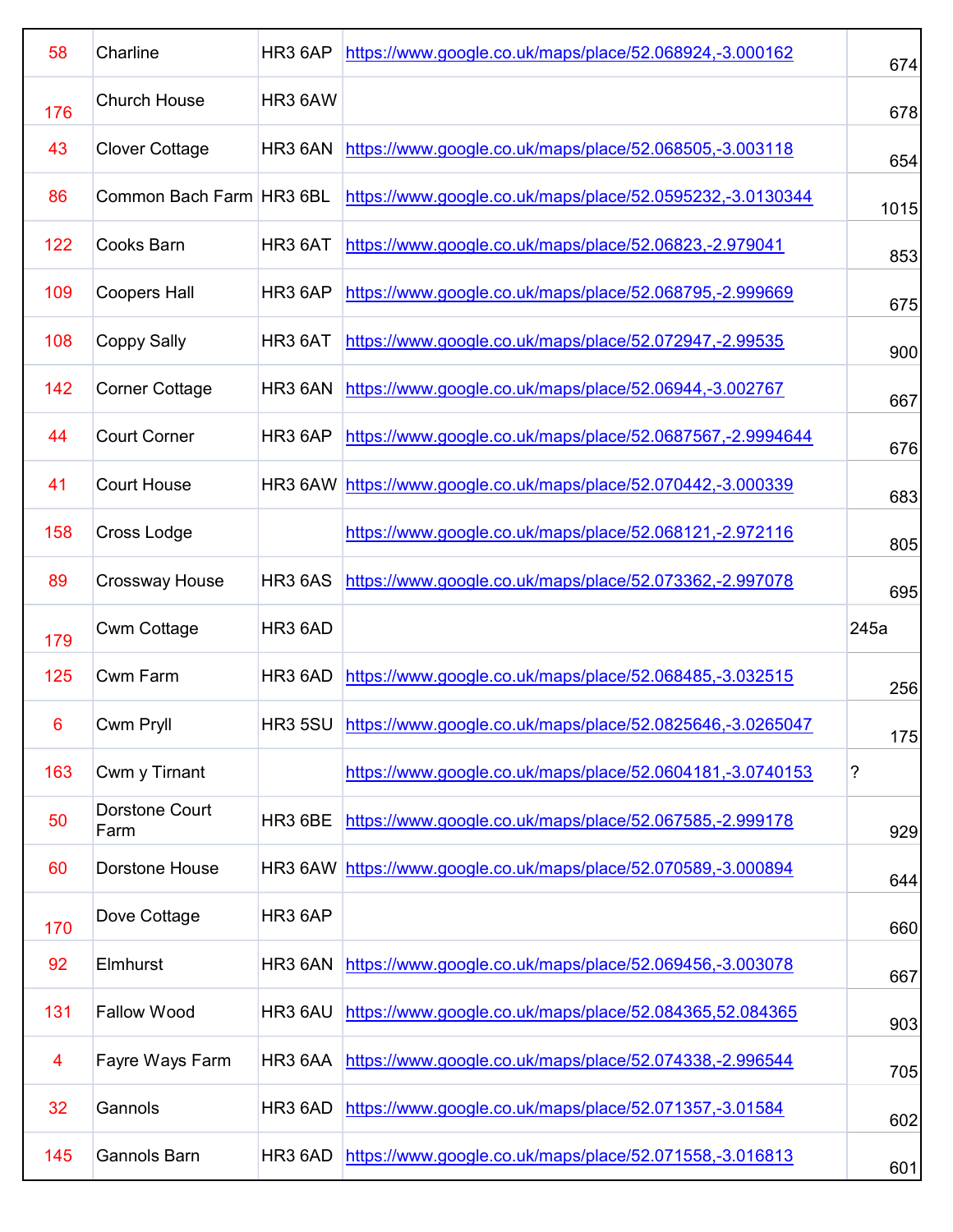| 58  | Charline                 | HR3 6AP        | https://www.google.co.uk/maps/place/52.068924,-3.000162           | 674               |
|-----|--------------------------|----------------|-------------------------------------------------------------------|-------------------|
| 176 | <b>Church House</b>      | HR3 6AW        |                                                                   | 678               |
| 43  | <b>Clover Cottage</b>    | HR3 6AN        | https://www.google.co.uk/maps/place/52.068505,-3.003118           | 654               |
| 86  | Common Bach Farm HR3 6BL |                | https://www.google.co.uk/maps/place/52.0595232,-3.0130344         | 1015              |
| 122 | Cooks Barn               | HR3 6AT        | https://www.google.co.uk/maps/place/52.06823,-2.979041            | 853               |
| 109 | <b>Coopers Hall</b>      | HR3 6AP        | https://www.google.co.uk/maps/place/52.068795,-2.999669           | 675               |
| 108 | <b>Coppy Sally</b>       | HR3 6AT        | https://www.google.co.uk/maps/place/52.072947,-2.99535            | 900               |
| 142 | <b>Corner Cottage</b>    | HR3 6AN        | https://www.google.co.uk/maps/place/52.06944,-3.002767            | 667               |
| 44  | <b>Court Corner</b>      | HR3 6AP        | https://www.google.co.uk/maps/place/52.0687567,-2.9994644         | 676               |
| 41  | <b>Court House</b>       |                | HR3 6AW https://www.google.co.uk/maps/place/52.070442,-3.000339   | 683               |
| 158 | Cross Lodge              |                | https://www.google.co.uk/maps/place/52.068121,-2.972116           | 805               |
| 89  | <b>Crossway House</b>    | <b>HR3 6AS</b> | https://www.google.co.uk/maps/place/52.073362,-2.997078           | 695               |
|     |                          |                |                                                                   |                   |
| 179 | <b>Cwm Cottage</b>       | HR3 6AD        |                                                                   | 245a              |
| 125 | <b>Cwm Farm</b>          | HR3 6AD        | https://www.google.co.uk/maps/place/52.068485,-3.032515           |                   |
| 6   | Cwm Pryll                |                | HR3 5SU https://www.google.co.uk/maps/place/52.0825646,-3.0265047 |                   |
| 163 | Cwm y Tirnant            |                | https://www.google.co.uk/maps/place/52.0604181,-3.0740153         | ?                 |
| 50  | Dorstone Court<br>Farm   | HR3 6BE        | https://www.google.co.uk/maps/place/52.067585,-2.999178           | 256<br>175<br>929 |
| 60  | Dorstone House           |                | HR3 6AW https://www.google.co.uk/maps/place/52.070589,-3.000894   |                   |
| 170 | Dove Cottage             | HR3 6AP        |                                                                   |                   |
| 92  | Elmhurst                 | HR3 6AN        | https://www.google.co.uk/maps/place/52.069456,-3.003078           | 667               |
| 131 | <b>Fallow Wood</b>       | HR3 6AU        | https://www.google.co.uk/maps/place/52.084365,52.084365           | 644<br>660<br>903 |
| 4   | Fayre Ways Farm          | HR3 6AA        | https://www.google.co.uk/maps/place/52.074338,-2.996544           | 705               |
| 32  | Gannols                  | HR3 6AD        | https://www.google.co.uk/maps/place/52.071357,-3.01584            | 602               |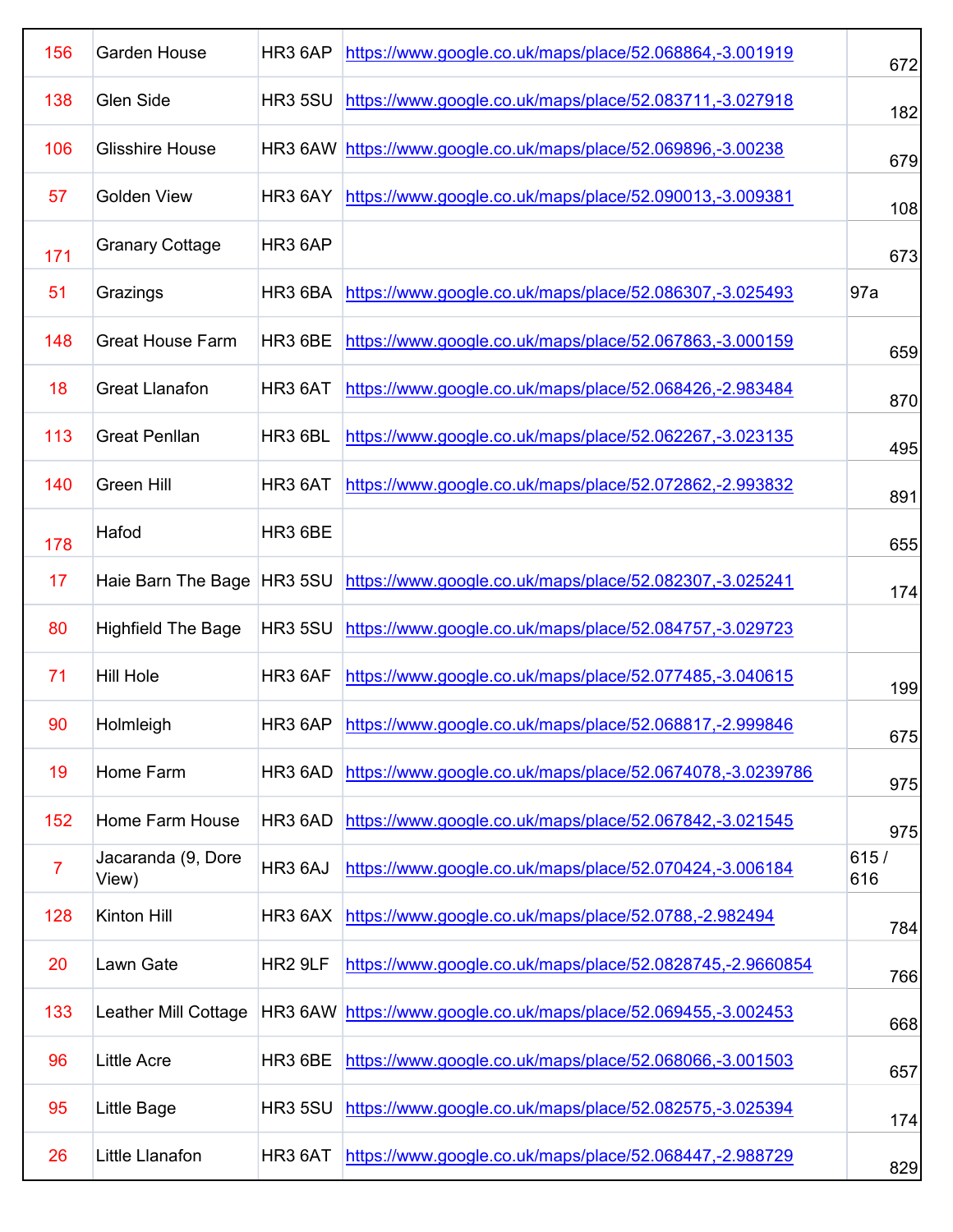| 156            | <b>Garden House</b>          | HR3 6AP             | https://www.google.co.uk/maps/place/52.068864,-3.001919         | 672         |
|----------------|------------------------------|---------------------|-----------------------------------------------------------------|-------------|
| 138            | Glen Side                    | <b>HR3 5SU</b>      | https://www.google.co.uk/maps/place/52.083711,-3.027918         | 182         |
| 106            | <b>Glisshire House</b>       | HR3 6AW             | https://www.google.co.uk/maps/place/52.069896,-3.00238          | 679         |
| 57             | <b>Golden View</b>           | HR3 6AY             | https://www.google.co.uk/maps/place/52.090013,-3.009381         | 108         |
| 171            | <b>Granary Cottage</b>       | HR3 6AP             |                                                                 | 673         |
| 51             | Grazings                     | HR3 6BA             | https://www.google.co.uk/maps/place/52.086307,-3.025493         | 97a         |
| 148            | <b>Great House Farm</b>      | HR3 6BE             | https://www.google.co.uk/maps/place/52.067863,-3.000159         | 659         |
| 18             | <b>Great Llanafon</b>        | HR3 6AT             | https://www.google.co.uk/maps/place/52.068426,-2.983484         | 870         |
| 113            | <b>Great Penllan</b>         | HR3 6BL             | https://www.google.co.uk/maps/place/52.062267,-3.023135         | 495         |
| 140            | <b>Green Hill</b>            | HR3 6AT             | https://www.google.co.uk/maps/place/52.072862,-2.993832         | 891         |
| 178            | Hafod                        | HR3 6BE             |                                                                 | 655         |
| 17             | Haie Barn The Bage   HR3 5SU |                     | https://www.google.co.uk/maps/place/52.082307,-3.025241         | 174         |
| 80             | <b>Highfield The Bage</b>    | HR3 5SU             | https://www.google.co.uk/maps/place/52.084757,-3.029723         |             |
| 71             | <b>Hill Hole</b>             | HR3 6AF             | https://www.google.co.uk/maps/place/52.077485,-3.040615         | 199         |
| 90             | Holmleigh                    |                     | HR3 6AP https://www.google.co.uk/maps/place/52.068817,-2.999846 | 675         |
| 19             | Home Farm                    | HR3 6AD             | https://www.google.co.uk/maps/place/52.0674078,-3.0239786       | 975         |
| 152            | Home Farm House              | HR3 6AD             | https://www.google.co.uk/maps/place/52.067842,-3.021545         | 975         |
| $\overline{7}$ | Jacaranda (9, Dore<br>View)  | HR3 6AJ             | https://www.google.co.uk/maps/place/52.070424,-3.006184         | 615/<br>616 |
| 128            | Kinton Hill                  | HR3 6AX             | https://www.google.co.uk/maps/place/52.0788,-2.982494           | 784         |
| 20             | Lawn Gate                    | HR <sub>2</sub> 9LF | https://www.google.co.uk/maps/place/52.0828745,-2.9660854       | 766         |
| 133            | Leather Mill Cottage         | HR3 6AW             | https://www.google.co.uk/maps/place/52.069455,-3.002453         | 668         |
| 96             | <b>Little Acre</b>           | HR3 6BE             | https://www.google.co.uk/maps/place/52.068066,-3.001503         | 657         |
| 95             | Little Bage                  | <b>HR3 5SU</b>      | https://www.google.co.uk/maps/place/52.082575,-3.025394         | 174         |
| 26             | Little Llanafon              | HR3 6AT             | https://www.google.co.uk/maps/place/52.068447,-2.988729         | 829         |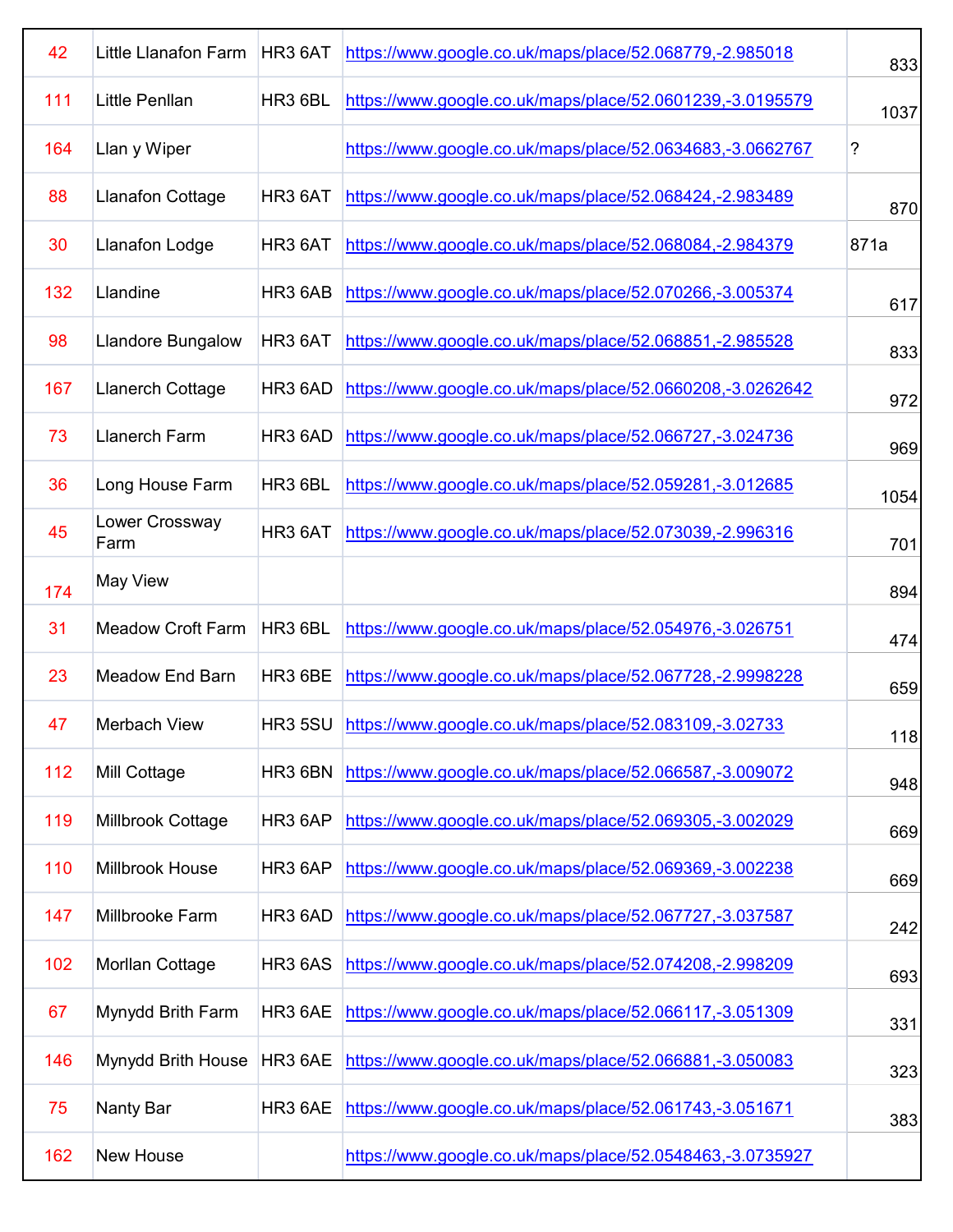| 42  | <b>Little Llanafon Farm</b> | HR3 6AT             | https://www.google.co.uk/maps/place/52.068779,-2.985018        | 833  |
|-----|-----------------------------|---------------------|----------------------------------------------------------------|------|
| 111 | <b>Little Penllan</b>       | HR3 6BL             | https://www.google.co.uk/maps/place/52.0601239,-3.0195579      | 1037 |
| 164 | Llan y Wiper                |                     | https://www.google.co.uk/maps/place/52.0634683,-3.0662767      | ?    |
| 88  | <b>Llanafon Cottage</b>     | HR3 6AT             | https://www.google.co.uk/maps/place/52.068424,-2.983489        | 870  |
| 30  | <b>Llanafon Lodge</b>       | HR3 6AT             | https://www.google.co.uk/maps/place/52.068084,-2.984379        | 871a |
| 132 | Llandine                    | HR3 6AB             | https://www.google.co.uk/maps/place/52.070266,-3.005374        | 617  |
| 98  | Llandore Bungalow           | HR3 6AT             | https://www.google.co.uk/maps/place/52.068851,-2.985528        | 833  |
| 167 | Llanerch Cottage            | HR3 6AD             | https://www.google.co.uk/maps/place/52.0660208,-3.0262642      | 972  |
| 73  | <b>Llanerch Farm</b>        | HR <sub>3</sub> 6AD | https://www.google.co.uk/maps/place/52.066727,-3.024736        | 969  |
| 36  | Long House Farm             | HR3 6BL             | https://www.google.co.uk/maps/place/52.059281,-3.012685        | 1054 |
| 45  | Lower Crossway<br>Farm      | HR3 6AT             | https://www.google.co.uk/maps/place/52.073039,-2.996316        | 701  |
| 174 | <b>May View</b>             |                     |                                                                | 894  |
| 31  | <b>Meadow Croft Farm</b>    | HR3 6BL             | https://www.google.co.uk/maps/place/52.054976,-3.026751        | 474  |
| 23  | <b>Meadow End Barn</b>      | HR3 6BE             | https://www.google.co.uk/maps/place/52.067728,-2.9998228       | 659  |
| 47  | Merbach View                |                     | HR3 5SU https://www.google.co.uk/maps/place/52.083109,-3.02733 | 118  |
| 112 | Mill Cottage                | HR3 6BN             | https://www.google.co.uk/maps/place/52.066587,-3.009072        | 948  |
| 119 | Millbrook Cottage           | HR3 6AP             | https://www.google.co.uk/maps/place/52.069305,-3.002029        | 669  |
| 110 | Millbrook House             | HR3 6AP             | https://www.google.co.uk/maps/place/52.069369,-3.002238        | 669  |
| 147 | Millbrooke Farm             | HR3 6AD             | https://www.google.co.uk/maps/place/52.067727,-3.037587        | 242  |
| 102 | Morllan Cottage             | <b>HR3 6AS</b>      | https://www.google.co.uk/maps/place/52.074208,-2.998209        | 693  |
| 67  | Mynydd Brith Farm           | HR3 6AE             | https://www.google.co.uk/maps/place/52.066117,-3.051309        | 331  |
| 146 | Mynydd Brith House          | HR3 6AE             | https://www.google.co.uk/maps/place/52.066881,-3.050083        | 323  |
| 75  | Nanty Bar                   | HR3 6AE             | https://www.google.co.uk/maps/place/52.061743,-3.051671        | 383  |
| 162 | New House                   |                     | https://www.google.co.uk/maps/place/52.0548463,-3.0735927      |      |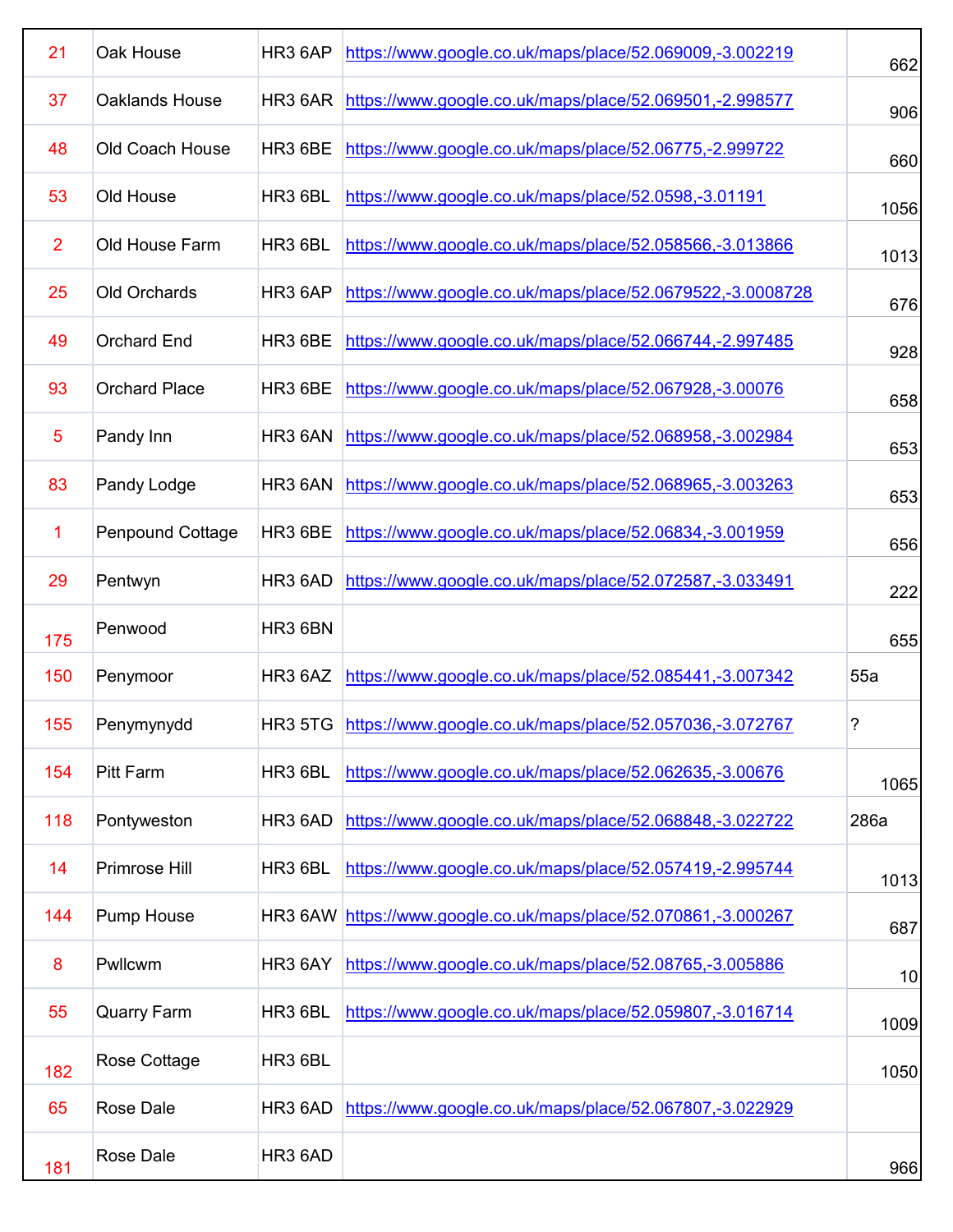| 21             | Oak House               | HR3 6AP             | https://www.google.co.uk/maps/place/52.069009,-3.002219         | 662  |
|----------------|-------------------------|---------------------|-----------------------------------------------------------------|------|
| 37             | Oaklands House          | HR3 6AR             | https://www.google.co.uk/maps/place/52.069501,-2.998577         | 906  |
| 48             | Old Coach House         | HR3 6BE             | https://www.google.co.uk/maps/place/52.06775,-2.999722          | 660  |
| 53             | Old House               | HR3 6BL             | https://www.google.co.uk/maps/place/52.0598,-3.01191            | 1056 |
| $\overline{2}$ | Old House Farm          | HR3 6BL             | https://www.google.co.uk/maps/place/52.058566,-3.013866         | 1013 |
| 25             | <b>Old Orchards</b>     | HR3 6AP             | https://www.google.co.uk/maps/place/52.0679522,-3.0008728       | 676  |
| 49             | <b>Orchard End</b>      | HR <sub>3</sub> 6BE | https://www.google.co.uk/maps/place/52.066744,-2.997485         | 928  |
| 93             | <b>Orchard Place</b>    | HR3 6BE             | https://www.google.co.uk/maps/place/52.067928,-3.00076          | 658  |
| 5              | Pandy Inn               | HR3 6AN             | https://www.google.co.uk/maps/place/52.068958,-3.002984         | 653  |
| 83             | Pandy Lodge             | HR3 6AN             | https://www.google.co.uk/maps/place/52.068965,-3.003263         | 653  |
| 1              | <b>Penpound Cottage</b> | HR3 6BE             | https://www.google.co.uk/maps/place/52.06834,-3.001959          | 656  |
| 29             | Pentwyn                 | HR3 6AD             | https://www.google.co.uk/maps/place/52.072587,-3.033491         | 222  |
| 175            | Penwood                 | HR3 6BN             |                                                                 | 655  |
| 150            | Penymoor                | HR3 6AZ             | https://www.google.co.uk/maps/place/52.085441,-3.007342         | 55a  |
| 155            | Penymynydd              |                     | HR3 5TG https://www.google.co.uk/maps/place/52.057036,-3.072767 | 7    |
| 154            | <b>Pitt Farm</b>        | HR3 6BL             | https://www.google.co.uk/maps/place/52.062635,-3.00676          | 1065 |
| 118            | Pontyweston             | HR3 6AD             | https://www.google.co.uk/maps/place/52.068848,-3.022722         | 286a |
| 14             | Primrose Hill           | HR3 6BL             | https://www.google.co.uk/maps/place/52.057419,-2.995744         | 1013 |
| 144            | Pump House              | HR3 6AW             | https://www.google.co.uk/maps/place/52.070861,-3.000267         | 687  |
| 8              | Pwllcwm                 | HR3 6AY             | https://www.google.co.uk/maps/place/52.08765,-3.005886          | 10   |
| 55             | <b>Quarry Farm</b>      | HR3 6BL             | https://www.google.co.uk/maps/place/52.059807,-3.016714         | 1009 |
| 182            | Rose Cottage            | HR3 6BL             |                                                                 | 1050 |
| 65             | <b>Rose Dale</b>        | HR3 6AD             | https://www.google.co.uk/maps/place/52.067807,-3.022929         |      |
| 181            | <b>Rose Dale</b>        | HR3 6AD             |                                                                 | 966  |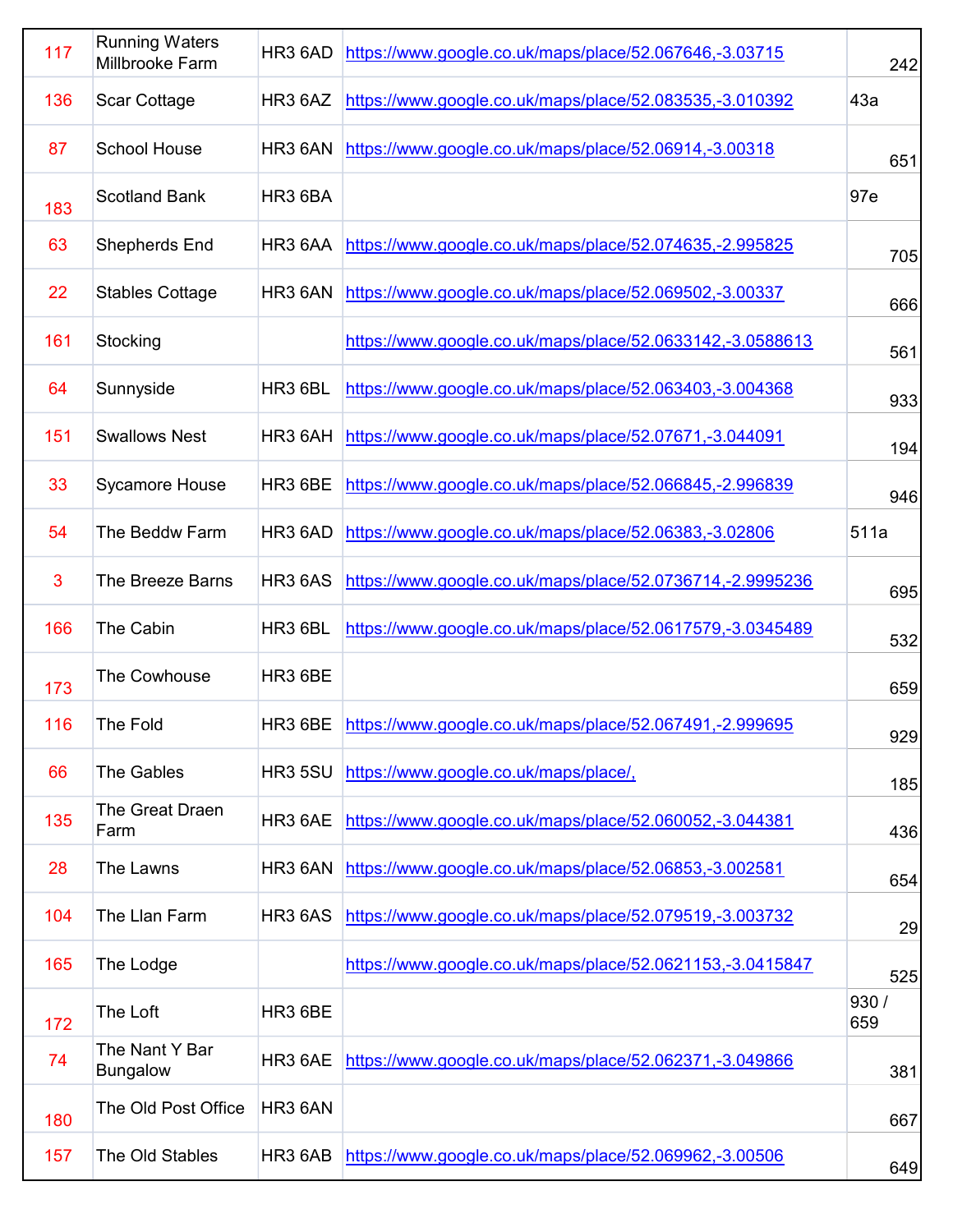| 117 | <b>Running Waters</b><br>Millbrooke Farm | HR3 6AD        | https://www.google.co.uk/maps/place/52.067646,-3.03715          | 242          |
|-----|------------------------------------------|----------------|-----------------------------------------------------------------|--------------|
| 136 | <b>Scar Cottage</b>                      | HR3 6AZ        | https://www.google.co.uk/maps/place/52.083535,-3.010392         | 43a          |
| 87  | <b>School House</b>                      | HR3 6AN        | https://www.google.co.uk/maps/place/52.06914,-3.00318           | 651          |
| 183 | <b>Scotland Bank</b>                     | HR3 6BA        |                                                                 | 97e          |
| 63  | <b>Shepherds End</b>                     | HR3 6AA        | https://www.google.co.uk/maps/place/52.074635,-2.995825         | 705          |
| 22  | <b>Stables Cottage</b>                   | HR3 6AN        | https://www.google.co.uk/maps/place/52.069502,-3.00337          | 666          |
| 161 | Stocking                                 |                | https://www.google.co.uk/maps/place/52.0633142,-3.0588613       | 561          |
| 64  | Sunnyside                                | HR3 6BL        | https://www.google.co.uk/maps/place/52.063403,-3.004368         | 933          |
| 151 | <b>Swallows Nest</b>                     | HR3 6AH        | https://www.google.co.uk/maps/place/52.07671,-3.044091          | 194          |
| 33  | <b>Sycamore House</b>                    | HR3 6BE        | https://www.google.co.uk/maps/place/52.066845,-2.996839         | 946          |
| 54  | The Beddw Farm                           | HR3 6AD        | https://www.google.co.uk/maps/place/52.06383,-3.02806           | 511a         |
| 3   | The Breeze Barns                         | <b>HR3 6AS</b> | https://www.google.co.uk/maps/place/52.0736714,-2.9995236       | 695          |
| 166 | The Cabin                                | HR3 6BL        | https://www.google.co.uk/maps/place/52.0617579,-3.0345489       | 532          |
| 173 | The Cowhouse                             | HR3 6BE        |                                                                 | 659          |
| 116 | The Fold                                 |                | HR3 6BE https://www.google.co.uk/maps/place/52.067491,-2.999695 | 929          |
| 66  | <b>The Gables</b>                        | <b>HR3 5SU</b> | https://www.google.co.uk/maps/place/,                           | 185          |
| 135 | The Great Draen<br>Farm                  | HR3 6AE        | https://www.google.co.uk/maps/place/52.060052,-3.044381         | 436          |
| 28  | The Lawns                                | HR3 6AN        | https://www.google.co.uk/maps/place/52.06853,-3.002581          | 654          |
| 104 | The Llan Farm                            | <b>HR3 6AS</b> | https://www.google.co.uk/maps/place/52.079519,-3.003732         | 29           |
| 165 | The Lodge                                |                | https://www.google.co.uk/maps/place/52.0621153,-3.0415847       | 525          |
| 172 | The Loft                                 | HR3 6BE        |                                                                 | 930 /<br>659 |
| 74  | The Nant Y Bar<br><b>Bungalow</b>        | HR3 6AE        | https://www.google.co.uk/maps/place/52.062371,-3.049866         | 381          |
| 180 | The Old Post Office                      | HR3 6AN        |                                                                 | 667          |
| 157 | The Old Stables                          | HR3 6AB        | https://www.google.co.uk/maps/place/52.069962,-3.00506          | 649          |